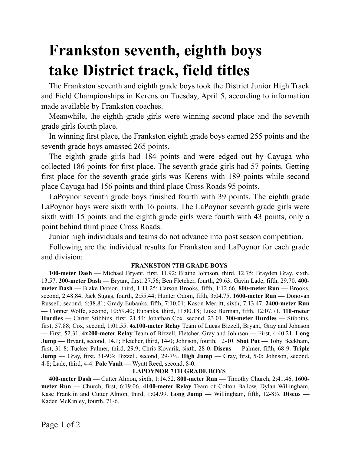# **Frankston seventh, eighth boys take District track, field titles**

The Frankston seventh and eighth grade boys took the District Junior High Track and Field Championships in Kerens on Tuesday, April 5, according to information made available by Frankston coaches.

Meanwhile, the eighth grade girls were winning second place and the seventh grade girls fourth place.

In winning first place, the Frankston eighth grade boys earned 255 points and the seventh grade boys amassed 265 points.

The eighth grade girls had 184 points and were edged out by Cayuga who collected 186 points for first place. The seventh grade girls had 57 points. Getting first place for the seventh grade girls was Kerens with 189 points while second place Cayuga had 156 points and third place Cross Roads 95 points.

LaPoynor seventh grade boys finished fourth with 39 points. The eighth grade LaPoynor boys were sixth with 16 points. The LaPoynor seventh grade girls were sixth with 15 points and the eighth grade girls were fourth with 43 points, only a point behind third place Cross Roads.

Junior high individuals and teams do not advance into post season competition.

Following are the individual results for Frankston and LaPoynor for each grade and division:

# **FRANKSTON 7TH GRADE BOYS**

**100-meter Dash —** Michael Bryant, first, 11.92; Blaine Johnson, third, 12.75; Brayden Gray, sixth, 13.57. **200-meter Dash —** Bryant, first, 27.56; Ben Fletcher, fourth, 29.63; Gavin Lade, fifth, 29.70. **400 meter Dash —** Blake Dotson, third, 1:11.25; Carson Brooks, fifth, 1:12.66. **800-meter Run —** Brooks, second, 2:48.84; Jack Suggs, fourth, 2:55.44; Hunter Odom, fifth, 3:04.75. **1600-meter Run —** Donovan Russell, second, 6:38.81; Grady Eubanks, fifth, 7:10.01; Kason Merritt, sixth, 7:13.47. **2400-meter Run —** Conner Wolfe, second, 10:59.40; Eubanks, third, 11:00.18; Luke Burman, fifth, 12:07.71. **110-meter Hurdles —** Carter Stibbins, first, 21.44; Jonathan Cox, second, 23.01. **300-meter Hurdles —** Stibbins, first, 57.88; Cox, second, 1:01.55. **4x100-meter Relay** Team of Lucas Bizzell, Bryant, Gray and Johnson — First, 52.31. **4x200-meter Relay** Team of Bizzell, Fletcher, Gray and Johnson — First, 4:40.21. **Long Jump —** Bryant, second, 14.1; Fletcher, third, 14-0; Johnson, fourth, 12-10. **Shot Put —** Toby Beckham, first, 31-8; Tucker Palmer, third, 29.9; Chris Kovarik, sixth, 28-0. **Discus —** Palmer, fifth, 68-9. **Triple Jump —** Gray, first, 31-9½; Bizzell, second, 29-7½. **High Jump —** Gray, first, 5-0; Johnson, second, 4-8; Lade, third, 4-4. **Pole Vault —** Wyatt Reed, second, 8-0.

# **LAPOYNOR 7TH GRADE BOYS**

**400-meter Dash —** Cutter Almon, sixth, 1:14.52. **800-meter Run —** Timothy Church, 2:41.46. **1600 meter Run —** Church, first, 6:19.06. **4100-meter Relay** Team of Colton Ballow, Dylan Willingham, Kase Franklin and Cutter Almon, third, 1:04.99. **Long Jump —** Willingham, fifth, 12-8½. **Discus —**  Kaden McKinley, fourth, 71-6.